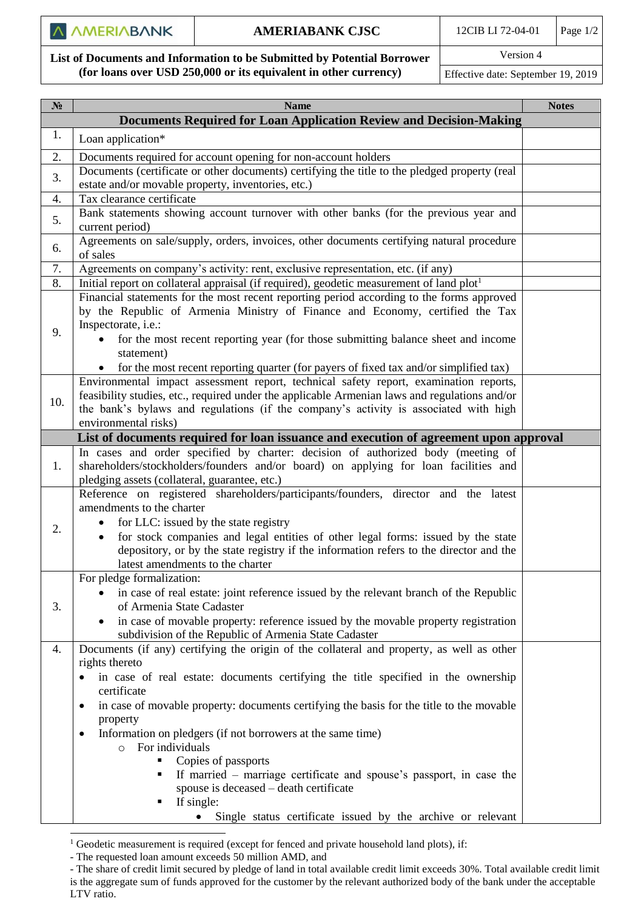$\overline{\phantom{a}}$ 

**List of Documents and Information to be Submitted by Potential Borrower (for loans over USD 250,000 or its equivalent in other currency)**

Version 4

Effective date: September 19, 2019

| <b>Name</b>                                                                                                                                                                                                                                                                                                                                                                                                                                                                                                                                                                                             | <b>Notes</b>                                                |
|---------------------------------------------------------------------------------------------------------------------------------------------------------------------------------------------------------------------------------------------------------------------------------------------------------------------------------------------------------------------------------------------------------------------------------------------------------------------------------------------------------------------------------------------------------------------------------------------------------|-------------------------------------------------------------|
| <b>Documents Required for Loan Application Review and Decision-Making</b>                                                                                                                                                                                                                                                                                                                                                                                                                                                                                                                               |                                                             |
| Loan application*                                                                                                                                                                                                                                                                                                                                                                                                                                                                                                                                                                                       |                                                             |
| Documents required for account opening for non-account holders                                                                                                                                                                                                                                                                                                                                                                                                                                                                                                                                          |                                                             |
| Documents (certificate or other documents) certifying the title to the pledged property (real                                                                                                                                                                                                                                                                                                                                                                                                                                                                                                           |                                                             |
| estate and/or movable property, inventories, etc.)                                                                                                                                                                                                                                                                                                                                                                                                                                                                                                                                                      |                                                             |
| Tax clearance certificate                                                                                                                                                                                                                                                                                                                                                                                                                                                                                                                                                                               |                                                             |
| Bank statements showing account turnover with other banks (for the previous year and<br>current period)                                                                                                                                                                                                                                                                                                                                                                                                                                                                                                 |                                                             |
| Agreements on sale/supply, orders, invoices, other documents certifying natural procedure<br>of sales                                                                                                                                                                                                                                                                                                                                                                                                                                                                                                   |                                                             |
| Agreements on company's activity: rent, exclusive representation, etc. (if any)                                                                                                                                                                                                                                                                                                                                                                                                                                                                                                                         |                                                             |
| Initial report on collateral appraisal (if required), geodetic measurement of land plot <sup>1</sup>                                                                                                                                                                                                                                                                                                                                                                                                                                                                                                    |                                                             |
| Financial statements for the most recent reporting period according to the forms approved<br>by the Republic of Armenia Ministry of Finance and Economy, certified the Tax<br>Inspectorate, i.e.:<br>for the most recent reporting year (for those submitting balance sheet and income<br>statement)                                                                                                                                                                                                                                                                                                    |                                                             |
| for the most recent reporting quarter (for payers of fixed tax and/or simplified tax)                                                                                                                                                                                                                                                                                                                                                                                                                                                                                                                   |                                                             |
| Environmental impact assessment report, technical safety report, examination reports,<br>feasibility studies, etc., required under the applicable Armenian laws and regulations and/or<br>the bank's bylaws and regulations (if the company's activity is associated with high<br>environmental risks)                                                                                                                                                                                                                                                                                                  |                                                             |
| List of documents required for loan issuance and execution of agreement upon approval                                                                                                                                                                                                                                                                                                                                                                                                                                                                                                                   |                                                             |
| In cases and order specified by charter: decision of authorized body (meeting of<br>shareholders/stockholders/founders and/or board) on applying for loan facilities and<br>pledging assets (collateral, guarantee, etc.)                                                                                                                                                                                                                                                                                                                                                                               |                                                             |
| Reference on registered shareholders/participants/founders, director and the latest<br>amendments to the charter<br>for LLC: issued by the state registry<br>for stock companies and legal entities of other legal forms: issued by the state<br>depository, or by the state registry if the information refers to the director and the<br>latest amendments to the charter                                                                                                                                                                                                                             |                                                             |
| For pledge formalization:<br>in case of real estate: joint reference issued by the relevant branch of the Republic<br>of Armenia State Cadaster<br>in case of movable property: reference issued by the movable property registration<br>subdivision of the Republic of Armenia State Cadaster                                                                                                                                                                                                                                                                                                          |                                                             |
| Documents (if any) certifying the origin of the collateral and property, as well as other<br>rights thereto<br>in case of real estate: documents certifying the title specified in the ownership<br>$\bullet$<br>certificate<br>in case of movable property: documents certifying the basis for the title to the movable<br>٠<br>property<br>Information on pledgers (if not borrowers at the same time)<br>٠<br>For individuals<br>$\circ$<br>Copies of passports<br>If married – marriage certificate and spouse's passport, in case the<br>spouse is deceased – death certificate<br>If single:<br>٠ |                                                             |
|                                                                                                                                                                                                                                                                                                                                                                                                                                                                                                                                                                                                         | Single status certificate issued by the archive or relevant |

<sup>&</sup>lt;sup>1</sup> Geodetic measurement is required (except for fenced and private household land plots), if:

<sup>-</sup> The requested loan amount exceeds 50 million AMD, and

<sup>-</sup> The share of credit limit secured by pledge of land in total available credit limit exceeds 30%. Total available credit limit is the aggregate sum of funds approved for the customer by the relevant authorized body of the bank under the acceptable LTV ratio.